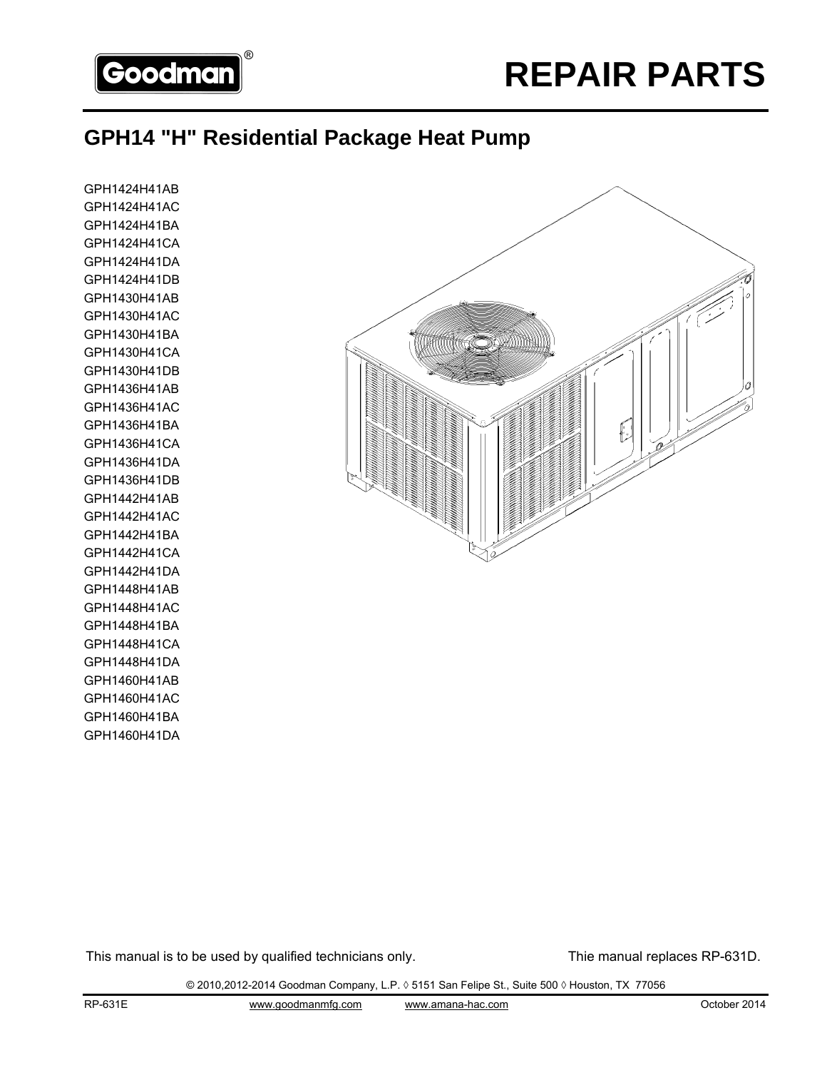

#### **GPH14 "H" Residential Package Heat Pump**

GPH1424H41AB GPH1424H41AC GPH1424H41BA GPH1424H41CA GPH1424H41DA GPH1424H41DB GPH1430H41AB GPH1430H41AC GPH1430H41BA GPH1430H41CA GPH1430H41DB GPH1436H41AB GPH1436H41AC GPH1436H41BA GPH1436H41CA GPH1436H41DA GPH1436H41DB GPH1442H41AB GPH1442H41AC GPH1442H41BA GPH1442H41CA GPH1442H41DA GPH1448H41AB GPH1448H41AC GPH1448H41BA GPH1448H41CA GPH1448H41DA GPH1460H41AB GPH1460H41AC GPH1460H41BA GPH1460H41DA



This manual is to be used by qualified technicians only. This manual replaces RP-631D.

© 2010,2012-2014 Goodman Company, L.P. ◊ 5151 San Felipe St., Suite 500 ◊ Houston, TX 77056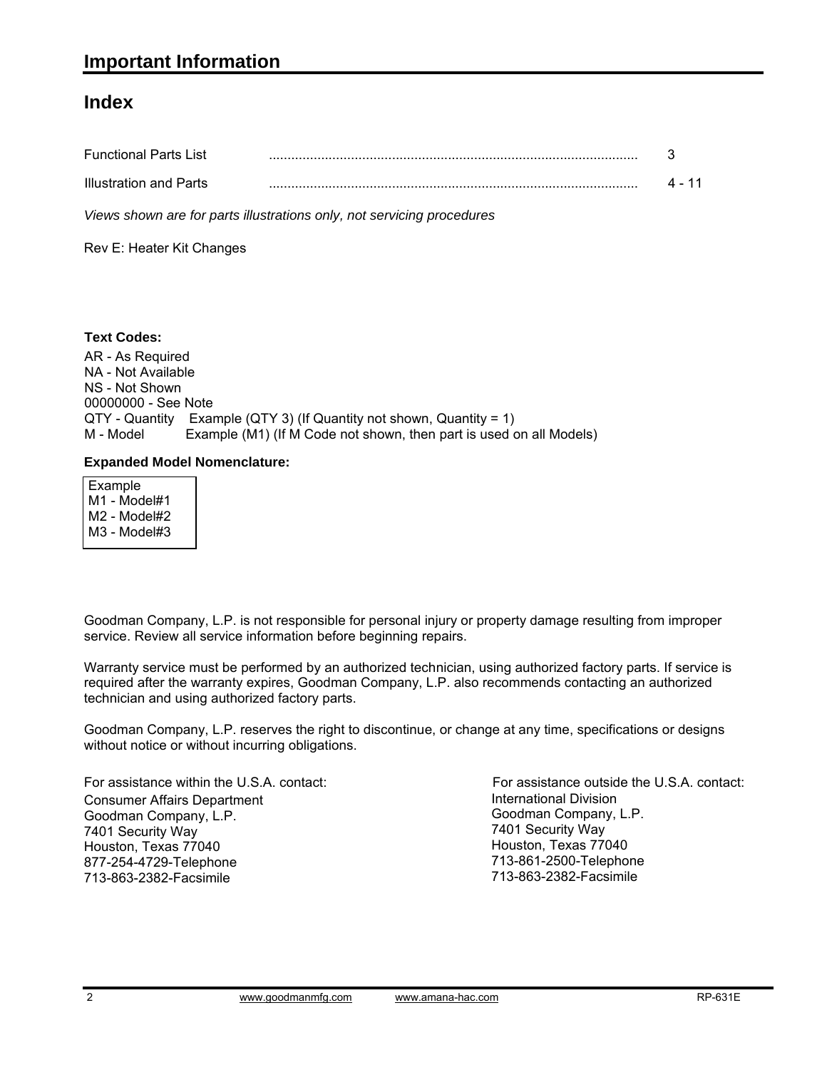#### **Index**

| <b>Functional Parts List</b> |  |
|------------------------------|--|
| Illustration and Parts       |  |

*Views shown are for parts illustrations only, not servicing procedures*

Rev E: Heater Kit Changes

#### **Text Codes:**

AR - As Required NA - Not Available NS - Not Shown 00000000 - See Note QTY - Quantity Example (QTY 3) (If Quantity not shown, Quantity = 1) M - Model Example (M1) (If M Code not shown, then part is used on all Models)

#### **Expanded Model Nomenclature:**

 Example M1 - Model#1 M2 - Model#2 M3 - Model#3

Goodman Company, L.P. is not responsible for personal injury or property damage resulting from improper service. Review all service information before beginning repairs.

Warranty service must be performed by an authorized technician, using authorized factory parts. If service is required after the warranty expires, Goodman Company, L.P. also recommends contacting an authorized technician and using authorized factory parts.

Goodman Company, L.P. reserves the right to discontinue, or change at any time, specifications or designs without notice or without incurring obligations.

For assistance within the U.S.A. contact: Consumer Affairs Department Goodman Company, L.P. 7401 Security Way Houston, Texas 77040 877-254-4729-Telephone 713-863-2382-Facsimile

International Division Goodman Company, L.P. 7401 Security Way Houston, Texas 77040 713-861-2500-Telephone 713-863-2382-Facsimile For assistance outside the U.S.A. contact: International Divisionwww.goodmanmfg.com www.amana-hac.com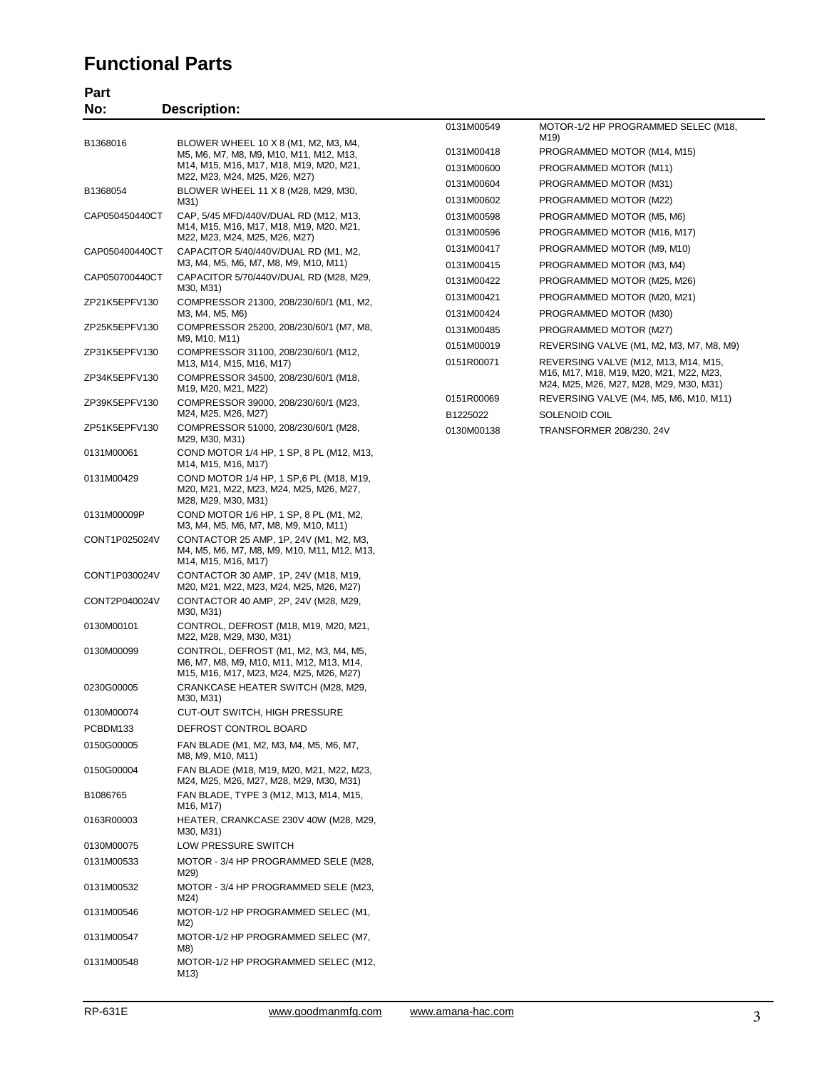#### **Functional Parts**

**Part**

| No:            | <b>Description:</b>                                                                                                          |            |                                                                                 |
|----------------|------------------------------------------------------------------------------------------------------------------------------|------------|---------------------------------------------------------------------------------|
|                |                                                                                                                              | 0131M00549 | MOTOR-1/2 HP PROGRAMMED SELEC (M18,<br>M19)                                     |
| B1368016       | BLOWER WHEEL 10 X 8 (M1, M2, M3, M4,<br>M5, M6, M7, M8, M9, M10, M11, M12, M13,                                              | 0131M00418 | PROGRAMMED MOTOR (M14, M15)                                                     |
|                | M14, M15, M16, M17, M18, M19, M20, M21,                                                                                      | 0131M00600 | PROGRAMMED MOTOR (M11)                                                          |
|                | M22, M23, M24, M25, M26, M27)                                                                                                | 0131M00604 | PROGRAMMED MOTOR (M31)                                                          |
| B1368054       | BLOWER WHEEL 11 X 8 (M28, M29, M30,<br>M31)                                                                                  | 0131M00602 | PROGRAMMED MOTOR (M22)                                                          |
| CAP050450440CT | CAP, 5/45 MFD/440V/DUAL RD (M12, M13,                                                                                        | 0131M00598 | PROGRAMMED MOTOR (M5, M6)                                                       |
|                | M14, M15, M16, M17, M18, M19, M20, M21,<br>M22, M23, M24, M25, M26, M27)                                                     | 0131M00596 | PROGRAMMED MOTOR (M16, M17)                                                     |
| CAP050400440CT | CAPACITOR 5/40/440V/DUAL RD (M1, M2,                                                                                         | 0131M00417 | PROGRAMMED MOTOR (M9, M10)                                                      |
|                | M3, M4, M5, M6, M7, M8, M9, M10, M11)                                                                                        | 0131M00415 | PROGRAMMED MOTOR (M3, M4)                                                       |
| CAP050700440CT | CAPACITOR 5/70/440V/DUAL RD (M28, M29,<br>M30, M31)                                                                          | 0131M00422 | PROGRAMMED MOTOR (M25, M26)                                                     |
| ZP21K5EPFV130  | COMPRESSOR 21300, 208/230/60/1 (M1, M2,                                                                                      | 0131M00421 | PROGRAMMED MOTOR (M20, M21)                                                     |
|                | M3, M4, M5, M6)                                                                                                              | 0131M00424 | PROGRAMMED MOTOR (M30)                                                          |
| ZP25K5EPFV130  | COMPRESSOR 25200, 208/230/60/1 (M7, M8,                                                                                      | 0131M00485 | PROGRAMMED MOTOR (M27)                                                          |
| ZP31K5EPFV130  | M9, M10, M11)<br>COMPRESSOR 31100, 208/230/60/1 (M12,                                                                        | 0151M00019 | REVERSING VALVE (M1, M2, M3, M7, M8, M9)                                        |
| ZP34K5EPFV130  | M13, M14, M15, M16, M17)                                                                                                     | 0151R00071 | REVERSING VALVE (M12, M13, M14, M15,<br>M16, M17, M18, M19, M20, M21, M22, M23, |
|                | COMPRESSOR 34500, 208/230/60/1 (M18,<br>M19, M20, M21, M22)                                                                  |            | M24, M25, M26, M27, M28, M29, M30, M31)                                         |
| ZP39K5EPFV130  | COMPRESSOR 39000, 208/230/60/1 (M23,                                                                                         | 0151R00069 | REVERSING VALVE (M4, M5, M6, M10, M11)                                          |
|                | M24, M25, M26, M27)                                                                                                          | B1225022   | SOLENOID COIL                                                                   |
| ZP51K5EPFV130  | COMPRESSOR 51000, 208/230/60/1 (M28,<br>M29, M30, M31)                                                                       | 0130M00138 | TRANSFORMER 208/230, 24V                                                        |
| 0131M00061     | COND MOTOR 1/4 HP, 1 SP, 8 PL (M12, M13,<br>M14, M15, M16, M17)                                                              |            |                                                                                 |
| 0131M00429     | COND MOTOR 1/4 HP, 1 SP, 6 PL (M18, M19,<br>M20, M21, M22, M23, M24, M25, M26, M27,<br>M28, M29, M30, M31)                   |            |                                                                                 |
| 0131M00009P    | COND MOTOR 1/6 HP, 1 SP, 8 PL (M1, M2,<br>M3, M4, M5, M6, M7, M8, M9, M10, M11)                                              |            |                                                                                 |
| CONT1P025024V  | CONTACTOR 25 AMP, 1P, 24V (M1, M2, M3,<br>M4, M5, M6, M7, M8, M9, M10, M11, M12, M13,<br>M14, M15, M16, M17)                 |            |                                                                                 |
| CONT1P030024V  | CONTACTOR 30 AMP, 1P, 24V (M18, M19,<br>M20, M21, M22, M23, M24, M25, M26, M27)                                              |            |                                                                                 |
| CONT2P040024V  | CONTACTOR 40 AMP, 2P, 24V (M28, M29,<br>M30, M31)                                                                            |            |                                                                                 |
| 0130M00101     | CONTROL, DEFROST (M18, M19, M20, M21,<br>M22, M28, M29, M30, M31)                                                            |            |                                                                                 |
| 0130M00099     | CONTROL, DEFROST (M1, M2, M3, M4, M5,<br>M6, M7, M8, M9, M10, M11, M12, M13, M14,<br>M15, M16, M17, M23, M24, M25, M26, M27) |            |                                                                                 |
| 0230G00005     | CRANKCASE HEATER SWITCH (M28, M29,<br>M30, M31)                                                                              |            |                                                                                 |
| 0130M00074     | CUT-OUT SWITCH, HIGH PRESSURE                                                                                                |            |                                                                                 |
| PCBDM133       | DEFROST CONTROL BOARD                                                                                                        |            |                                                                                 |
| 0150G00005     | FAN BLADE (M1, M2, M3, M4, M5, M6, M7,<br>M8, M9, M10, M11)                                                                  |            |                                                                                 |
| 0150G00004     | FAN BLADE (M18, M19, M20, M21, M22, M23,<br>M24, M25, M26, M27, M28, M29, M30, M31)                                          |            |                                                                                 |
| B1086765       | FAN BLADE, TYPE 3 (M12, M13, M14, M15,<br>M16, M17)                                                                          |            |                                                                                 |
| 0163R00003     | HEATER, CRANKCASE 230V 40W (M28, M29,<br>M30, M31)                                                                           |            |                                                                                 |
| 0130M00075     | LOW PRESSURE SWITCH                                                                                                          |            |                                                                                 |
| 0131M00533     | MOTOR - 3/4 HP PROGRAMMED SELE (M28,<br>M29)                                                                                 |            |                                                                                 |
| 0131M00532     | MOTOR - 3/4 HP PROGRAMMED SELE (M23,<br>M24)                                                                                 |            |                                                                                 |
| 0131M00546     | MOTOR-1/2 HP PROGRAMMED SELEC (M1,<br>M2)                                                                                    |            |                                                                                 |
| 0131M00547     | MOTOR-1/2 HP PROGRAMMED SELEC (M7,<br>M8)                                                                                    |            |                                                                                 |
| 0131M00548     | MOTOR-1/2 HP PROGRAMMED SELEC (M12,                                                                                          |            |                                                                                 |

M13)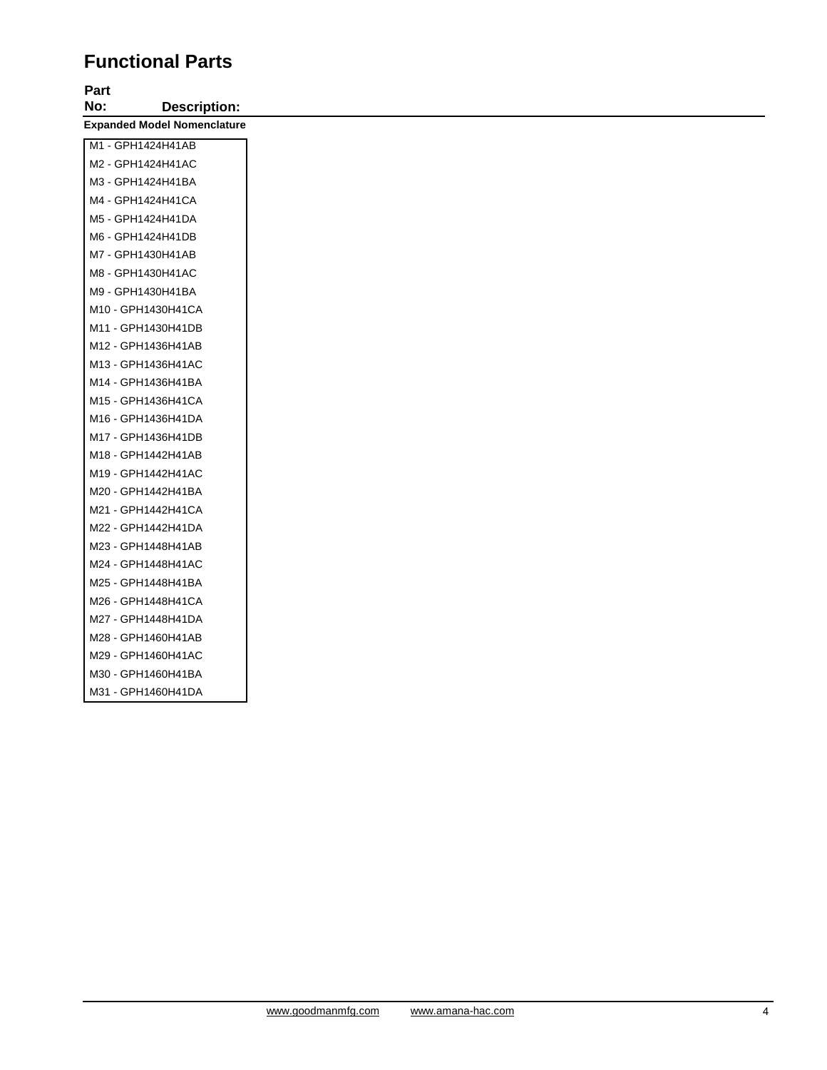# **Functional Parts**

# **Part**

**No: Description: Expanded Model Nomenclature**

| M1 - GPH1424H41AB  |
|--------------------|
| M2 - GPH1424H41AC  |
| M3 - GPH1424H41BA  |
| M4 - GPH1424H41CA  |
| M5 - GPH1424H41DA  |
| M6 - GPH1424H41DB  |
| M7 - GPH1430H41AB  |
| M8 - GPH1430H41AC  |
| M9 - GPH1430H41BA  |
| M10 - GPH1430H41CA |
| M11 - GPH1430H41DB |
| M12 - GPH1436H41AB |
| M13 - GPH1436H41AC |
| M14 - GPH1436H41BA |
| M15 - GPH1436H41CA |
| M16 - GPH1436H41DA |
| M17 - GPH1436H41DB |
| M18 - GPH1442H41AB |
| M19 - GPH1442H41AC |
| M20 - GPH1442H41BA |
| M21 - GPH1442H41CA |
| M22 - GPH1442H41DA |
| M23 - GPH1448H41AB |
| M24 - GPH1448H41AC |
| M25 - GPH1448H41BA |
| M26 - GPH1448H41CA |
| M27 - GPH1448H41DA |
| M28 - GPH1460H41AB |
| M29 - GPH1460H41AC |
| M30 - GPH1460H41BA |
| M31 - GPH1460H41DA |
|                    |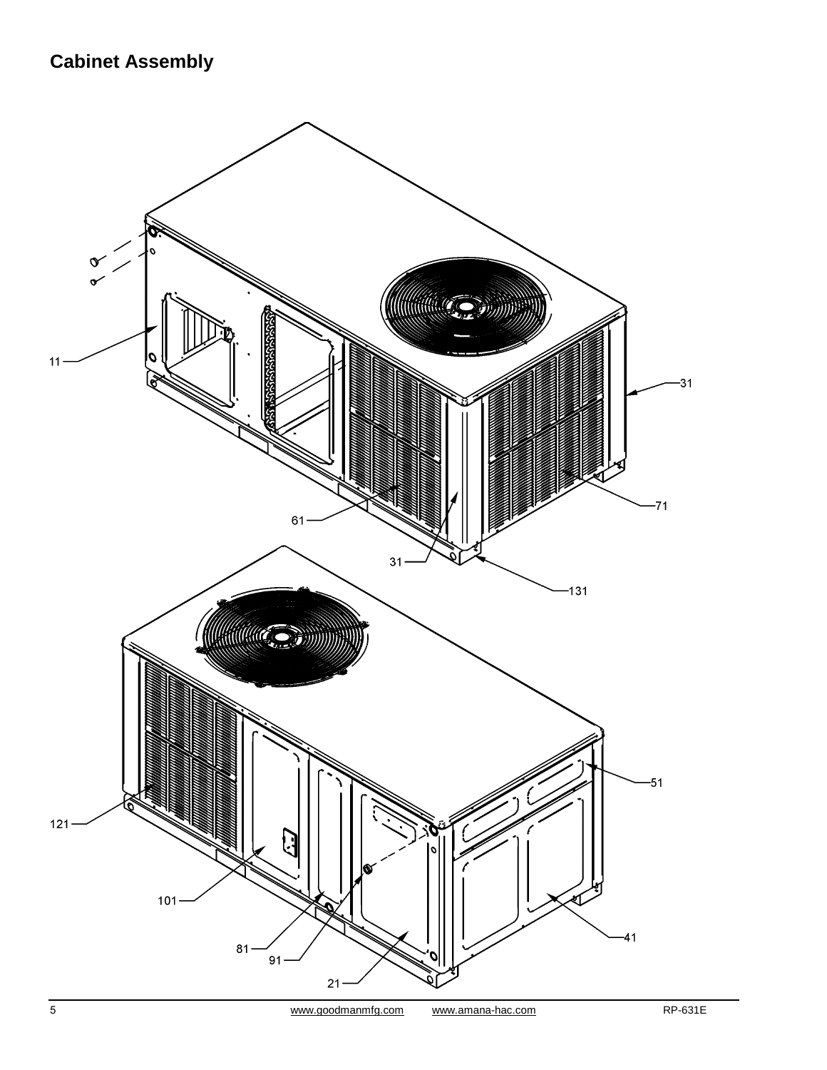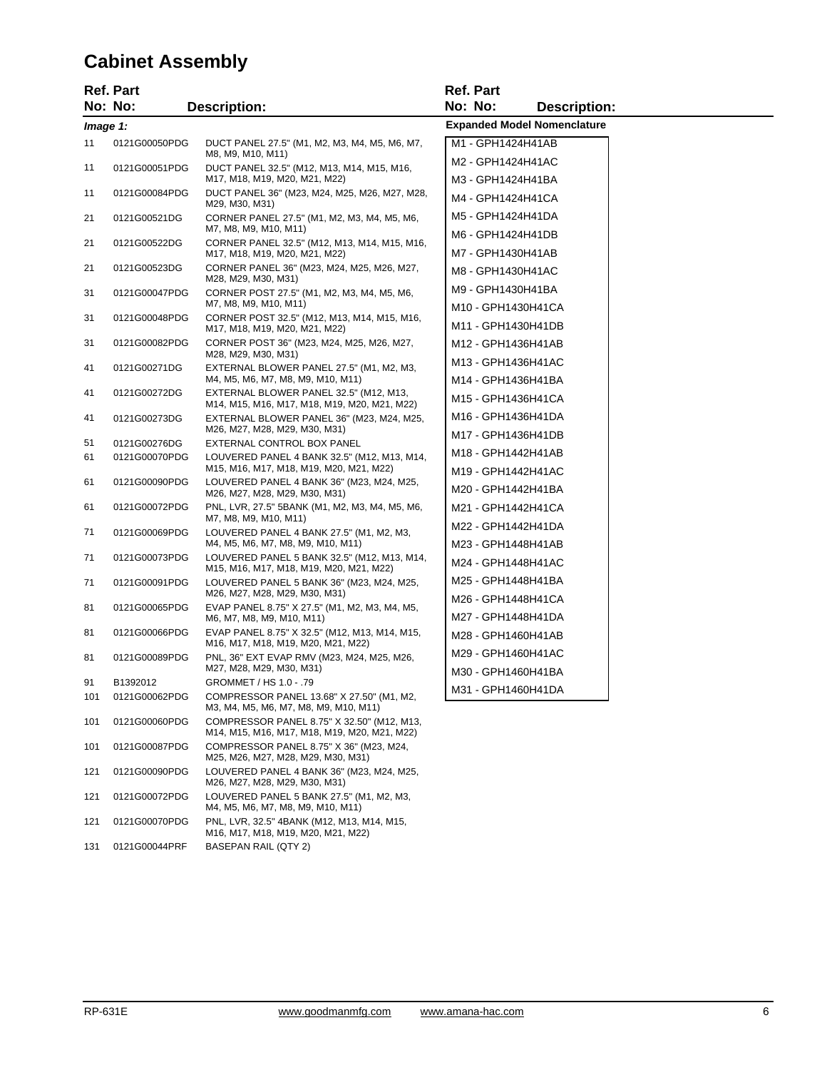#### **Cabinet Assembly**

| <b>Ref. Part</b> |                               |                                                                                            | Ref. Part                              |  |  |
|------------------|-------------------------------|--------------------------------------------------------------------------------------------|----------------------------------------|--|--|
|                  | No: No:                       | <b>Description:</b>                                                                        | No: No:<br><b>Description:</b>         |  |  |
| Image 1:         |                               |                                                                                            | <b>Expanded Model Nomenclature</b>     |  |  |
| 11               | 0121G00050PDG                 | DUCT PANEL 27.5" (M1, M2, M3, M4, M5, M6, M7,<br>M8, M9, M10, M11)                         | M1 - GPH1424H41AB                      |  |  |
| 11               | 0121G00051PDG                 | DUCT PANEL 32.5" (M12, M13, M14, M15, M16,                                                 | M2 - GPH1424H41AC                      |  |  |
| 11               | 0121G00084PDG                 | M17, M18, M19, M20, M21, M22)<br>DUCT PANEL 36" (M23, M24, M25, M26, M27, M28,             | M3 - GPH1424H41BA                      |  |  |
|                  |                               | M29, M30, M31)                                                                             | M4 - GPH1424H41CA                      |  |  |
| 21               | 0121G00521DG                  | CORNER PANEL 27.5" (M1, M2, M3, M4, M5, M6,<br>M7, M8, M9, M10, M11)                       | M5 - GPH1424H41DA                      |  |  |
| 21               | 0121G00522DG                  | CORNER PANEL 32.5" (M12, M13, M14, M15, M16,                                               | M6 - GPH1424H41DB<br>M7 - GPH1430H41AB |  |  |
| 21               | 0121G00523DG                  | M17, M18, M19, M20, M21, M22)<br>CORNER PANEL 36" (M23, M24, M25, M26, M27,                | M8 - GPH1430H41AC                      |  |  |
|                  |                               | M28, M29, M30, M31)                                                                        | M9 - GPH1430H41BA                      |  |  |
| 31               | 0121G00047PDG                 | CORNER POST 27.5" (M1, M2, M3, M4, M5, M6,<br>M7, M8, M9, M10, M11)                        | M10 - GPH1430H41CA                     |  |  |
| 31               | 0121G00048PDG                 | CORNER POST 32.5" (M12, M13, M14, M15, M16,                                                | M11 - GPH1430H41DB                     |  |  |
| 31               | 0121G00082PDG                 | M17, M18, M19, M20, M21, M22)<br>CORNER POST 36" (M23, M24, M25, M26, M27,                 | M12 - GPH1436H41AB                     |  |  |
|                  |                               | M28, M29, M30, M31)                                                                        | M13 - GPH1436H41AC                     |  |  |
| 41               | 0121G00271DG                  | EXTERNAL BLOWER PANEL 27.5" (M1, M2, M3,<br>M4, M5, M6, M7, M8, M9, M10, M11)              | M14 - GPH1436H41BA                     |  |  |
| 41               | 0121G00272DG                  | EXTERNAL BLOWER PANEL 32.5" (M12, M13,<br>M14, M15, M16, M17, M18, M19, M20, M21, M22)     | M15 - GPH1436H41CA                     |  |  |
| 41               | 0121G00273DG                  | EXTERNAL BLOWER PANEL 36" (M23, M24, M25,                                                  | M16 - GPH1436H41DA                     |  |  |
|                  |                               | M26, M27, M28, M29, M30, M31)                                                              | M17 - GPH1436H41DB                     |  |  |
| 51<br>61         | 0121G00276DG<br>0121G00070PDG | EXTERNAL CONTROL BOX PANEL<br>LOUVERED PANEL 4 BANK 32.5" (M12, M13, M14,                  | M18 - GPH1442H41AB                     |  |  |
|                  |                               | M15, M16, M17, M18, M19, M20, M21, M22)                                                    | M19 - GPH1442H41AC                     |  |  |
| 61               | 0121G00090PDG                 | LOUVERED PANEL 4 BANK 36" (M23, M24, M25,<br>M26, M27, M28, M29, M30, M31)                 | M20 - GPH1442H41BA                     |  |  |
| 61               | 0121G00072PDG                 | PNL, LVR, 27.5" 5BANK (M1, M2, M3, M4, M5, M6,                                             | M21 - GPH1442H41CA                     |  |  |
| 71               | 0121G00069PDG                 | M7, M8, M9, M10, M11)<br>LOUVERED PANEL 4 BANK 27.5" (M1, M2, M3,                          | M22 - GPH1442H41DA                     |  |  |
|                  |                               | M4, M5, M6, M7, M8, M9, M10, M11)                                                          | M23 - GPH1448H41AB                     |  |  |
| 71               | 0121G00073PDG                 | LOUVERED PANEL 5 BANK 32.5" (M12, M13, M14,<br>M15, M16, M17, M18, M19, M20, M21, M22)     | M24 - GPH1448H41AC                     |  |  |
| 71               | 0121G00091PDG                 | LOUVERED PANEL 5 BANK 36" (M23, M24, M25,                                                  | M25 - GPH1448H41BA                     |  |  |
|                  |                               | M26, M27, M28, M29, M30, M31)                                                              | M26 - GPH1448H41CA                     |  |  |
| 81               | 0121G00065PDG                 | EVAP PANEL 8.75" X 27.5" (M1, M2, M3, M4, M5,<br>M6, M7, M8, M9, M10, M11)                 | M27 - GPH1448H41DA                     |  |  |
| 81               | 0121G00066PDG                 | EVAP PANEL 8.75" X 32.5" (M12, M13, M14, M15,<br>M16, M17, M18, M19, M20, M21, M22)        | M28 - GPH1460H41AB                     |  |  |
| 81               | 0121G00089PDG                 | PNL, 36" EXT EVAP RMV (M23, M24, M25, M26,                                                 | M29 - GPH1460H41AC                     |  |  |
|                  | B1392012                      | M27, M28, M29, M30, M31)<br>GROMMET / HS 1.0 - .79                                         | M30 - GPH1460H41BA                     |  |  |
| 91<br>101        | 0121G00062PDG                 | COMPRESSOR PANEL 13.68" X 27.50" (M1, M2,                                                  | M31 - GPH1460H41DA                     |  |  |
|                  |                               | M3, M4, M5, M6, M7, M8, M9, M10, M11)                                                      |                                        |  |  |
| 101              | 0121G00060PDG                 | COMPRESSOR PANEL 8.75" X 32.50" (M12, M13,<br>M14, M15, M16, M17, M18, M19, M20, M21, M22) |                                        |  |  |
| 101              | 0121G00087PDG                 | COMPRESSOR PANEL 8.75" X 36" (M23, M24,<br>M25, M26, M27, M28, M29, M30, M31)              |                                        |  |  |
| 121              | 0121G00090PDG                 | LOUVERED PANEL 4 BANK 36" (M23, M24, M25,                                                  |                                        |  |  |

121 0121G00072PDG

121 0121G00070PDG

131 0121G00044PRF BASEPAN RAIL (QTY 2)

M26, M27, M28, M29, M30, M31)

M4, M5, M6, M7, M8, M9, M10, M11)

LOUVERED PANEL 5 BANK 27.5" (M1, M2, M3,

PNL, LVR, 32.5" 4BANK (M12, M13, M14, M15, M16, M17, M18, M19, M20, M21, M22)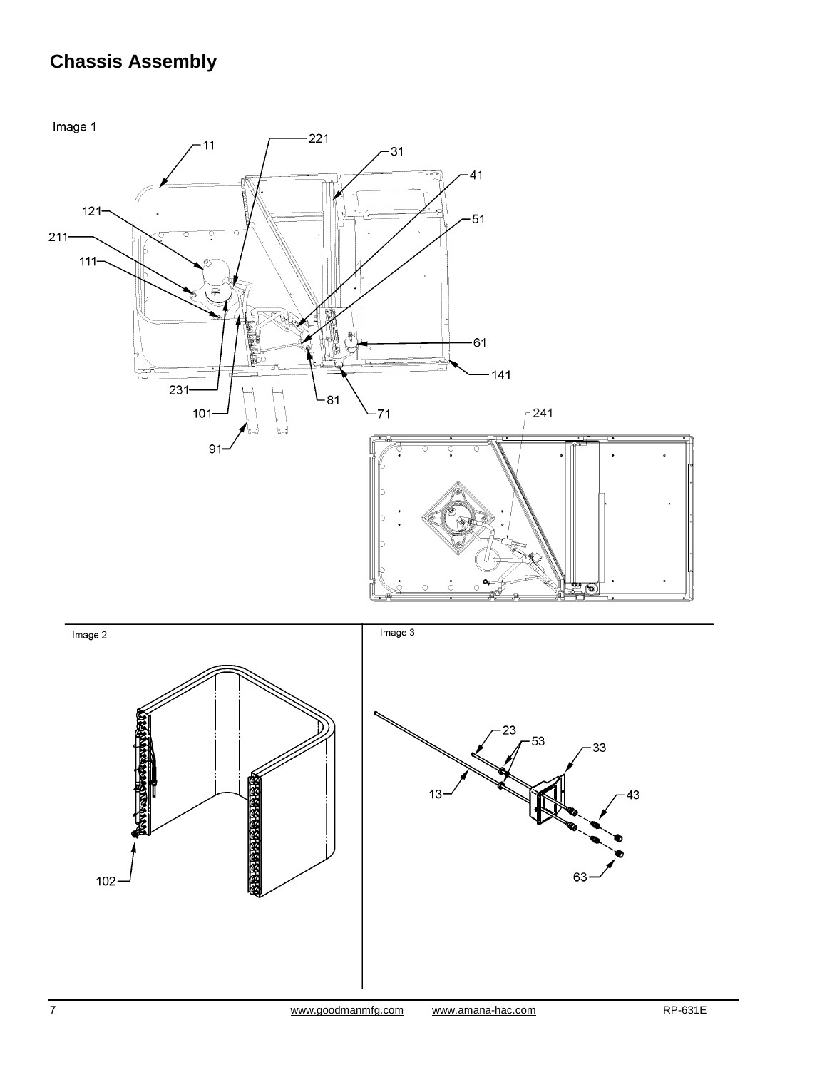## **Chassis Assembly**

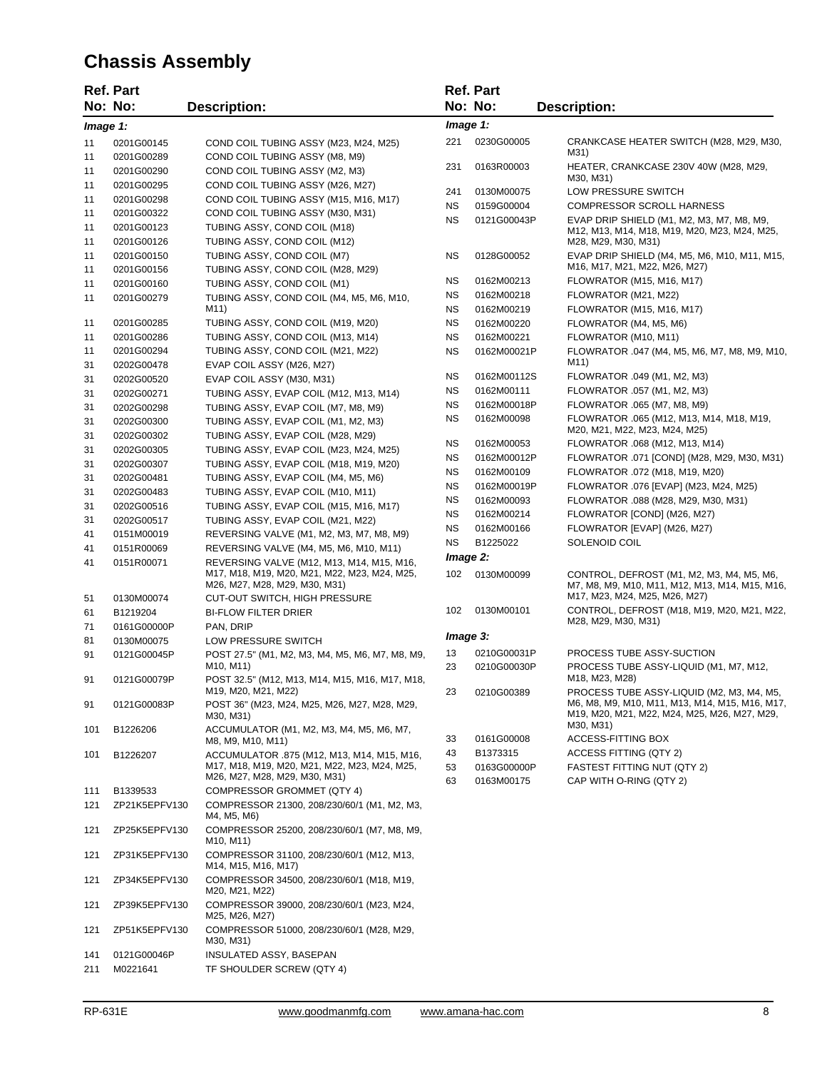## **Chassis Assembly**

|            | <b>Ref. Part</b>               |                                                                                                                            |           | <b>Ref. Part</b>           |                                                                                                             |
|------------|--------------------------------|----------------------------------------------------------------------------------------------------------------------------|-----------|----------------------------|-------------------------------------------------------------------------------------------------------------|
|            | No: No:                        | <b>Description:</b>                                                                                                        |           | No: No:                    | <b>Description:</b>                                                                                         |
| Image 1:   |                                |                                                                                                                            | Image 1:  |                            |                                                                                                             |
|            |                                |                                                                                                                            |           |                            |                                                                                                             |
| 11<br>11   | 0201G00145<br>0201G00289       | COND COIL TUBING ASSY (M23, M24, M25)<br>COND COIL TUBING ASSY (M8, M9)                                                    | 221       | 0230G00005                 | CRANKCASE HEATER SWITCH (M28, M29, M30,<br>M31)                                                             |
| 11         | 0201G00290                     | COND COIL TUBING ASSY (M2, M3)                                                                                             | 231       | 0163R00003                 | HEATER, CRANKCASE 230V 40W (M28, M29,                                                                       |
| 11         | 0201G00295                     | COND COIL TUBING ASSY (M26, M27)                                                                                           |           |                            | M30, M31)                                                                                                   |
| 11         | 0201G00298                     | COND COIL TUBING ASSY (M15, M16, M17)                                                                                      | 241       | 0130M00075                 | LOW PRESSURE SWITCH                                                                                         |
| 11         | 0201G00322                     | COND COIL TUBING ASSY (M30, M31)                                                                                           | <b>NS</b> | 0159G00004                 | <b>COMPRESSOR SCROLL HARNESS</b>                                                                            |
| 11         | 0201G00123                     | TUBING ASSY, COND COIL (M18)                                                                                               | <b>NS</b> | 0121G00043P                | EVAP DRIP SHIELD (M1, M2, M3, M7, M8, M9,                                                                   |
| 11         | 0201G00126                     | TUBING ASSY, COND COIL (M12)                                                                                               |           |                            | M12, M13, M14, M18, M19, M20, M23, M24, M25,<br>M28, M29, M30, M31)                                         |
| 11         | 0201G00150                     | TUBING ASSY, COND COIL (M7)                                                                                                | ΝS        | 0128G00052                 | EVAP DRIP SHIELD (M4, M5, M6, M10, M11, M15,                                                                |
| 11         | 0201G00156                     | TUBING ASSY, COND COIL (M28, M29)                                                                                          |           |                            | M16, M17, M21, M22, M26, M27)                                                                               |
| 11         | 0201G00160                     | TUBING ASSY, COND COIL (M1)                                                                                                | ΝS        | 0162M00213                 | FLOWRATOR (M15, M16, M17)                                                                                   |
| 11         | 0201G00279                     | TUBING ASSY, COND COIL (M4, M5, M6, M10,                                                                                   | ΝS        | 0162M00218                 | FLOWRATOR (M21, M22)                                                                                        |
|            |                                | M11)                                                                                                                       | ΝS        | 0162M00219                 | FLOWRATOR (M15, M16, M17)                                                                                   |
| 11         | 0201G00285                     | TUBING ASSY, COND COIL (M19, M20)                                                                                          | <b>NS</b> | 0162M00220                 | FLOWRATOR (M4, M5, M6)                                                                                      |
| 11         | 0201G00286                     | TUBING ASSY, COND COIL (M13, M14)                                                                                          | <b>NS</b> | 0162M00221                 | FLOWRATOR (M10, M11)                                                                                        |
| 11         | 0201G00294                     | TUBING ASSY, COND COIL (M21, M22)                                                                                          | ΝS        | 0162M00021P                | FLOWRATOR .047 (M4, M5, M6, M7, M8, M9, M10,                                                                |
| 31         | 0202G00478                     | EVAP COIL ASSY (M26, M27)                                                                                                  |           |                            | M11)                                                                                                        |
| 31         | 0202G00520                     | EVAP COIL ASSY (M30, M31)                                                                                                  | ΝS        | 0162M00112S                | FLOWRATOR .049 (M1, M2, M3)                                                                                 |
| 31         | 0202G00271                     | TUBING ASSY, EVAP COIL (M12, M13, M14)                                                                                     | ΝS        | 0162M00111                 | FLOWRATOR .057 (M1, M2, M3)                                                                                 |
| 31         | 0202G00298                     | TUBING ASSY, EVAP COIL (M7, M8, M9)                                                                                        | ΝS        | 0162M00018P                | FLOWRATOR .065 (M7, M8, M9)                                                                                 |
| 31         | 0202G00300                     | TUBING ASSY, EVAP COIL (M1, M2, M3)                                                                                        | ΝS        | 0162M00098                 | FLOWRATOR .065 (M12, M13, M14, M18, M19,<br>M20, M21, M22, M23, M24, M25)                                   |
| 31         | 0202G00302                     | TUBING ASSY, EVAP COIL (M28, M29)                                                                                          | ΝS        | 0162M00053                 | FLOWRATOR .068 (M12, M13, M14)                                                                              |
| 31         | 0202G00305                     | TUBING ASSY, EVAP COIL (M23, M24, M25)                                                                                     | ΝS        | 0162M00012P                | FLOWRATOR .071 [COND] (M28, M29, M30, M31)                                                                  |
| 31         | 0202G00307                     | TUBING ASSY, EVAP COIL (M18, M19, M20)                                                                                     | ΝS        | 0162M00109                 | FLOWRATOR .072 (M18, M19, M20)                                                                              |
| 31         | 0202G00481                     | TUBING ASSY, EVAP COIL (M4, M5, M6)                                                                                        | ΝS        | 0162M00019P                | FLOWRATOR .076 [EVAP] (M23, M24, M25)                                                                       |
| 31         | 0202G00483                     | TUBING ASSY, EVAP COIL (M10, M11)                                                                                          | ΝS        | 0162M00093                 | FLOWRATOR .088 (M28, M29, M30, M31)                                                                         |
| 31         | 0202G00516                     | TUBING ASSY, EVAP COIL (M15, M16, M17)                                                                                     | ΝS        | 0162M00214                 | FLOWRATOR [COND] (M26, M27)                                                                                 |
| 31         | 0202G00517                     | TUBING ASSY, EVAP COIL (M21, M22)                                                                                          | ΝS        | 0162M00166                 | FLOWRATOR [EVAP] (M26, M27)                                                                                 |
| 41         | 0151M00019                     | REVERSING VALVE (M1, M2, M3, M7, M8, M9)                                                                                   | <b>NS</b> | B1225022                   | SOLENOID COIL                                                                                               |
| 41         | 0151R00069                     | REVERSING VALVE (M4, M5, M6, M10, M11)                                                                                     | Image 2:  |                            |                                                                                                             |
| 41         | 0151R00071                     | REVERSING VALVE (M12, M13, M14, M15, M16,<br>M17, M18, M19, M20, M21, M22, M23, M24, M25,<br>M26, M27, M28, M29, M30, M31) | 102       | 0130M00099                 | CONTROL, DEFROST (M1, M2, M3, M4, M5, M6,<br>M7, M8, M9, M10, M11, M12, M13, M14, M15, M16,                 |
| 51         | 0130M00074                     | <b>CUT-OUT SWITCH, HIGH PRESSURE</b>                                                                                       |           |                            | M17, M23, M24, M25, M26, M27)                                                                               |
| 61         | B1219204                       | <b>BI-FLOW FILTER DRIER</b>                                                                                                | 102       | 0130M00101                 | CONTROL, DEFROST (M18, M19, M20, M21, M22,                                                                  |
| 71         | 0161G00000P                    | PAN, DRIP                                                                                                                  |           |                            | M28, M29, M30, M31)                                                                                         |
| 81         | 0130M00075                     | LOW PRESSURE SWITCH                                                                                                        | Image 3:  |                            |                                                                                                             |
| 91         | 0121G00045P                    | POST 27.5" (M1, M2, M3, M4, M5, M6, M7, M8, M9,<br>M <sub>10</sub> , M <sub>11</sub> )                                     | 13<br>23  | 0210G00031P<br>0210G00030P | PROCESS TUBE ASSY-SUCTION<br>PROCESS TUBE ASSY-LIQUID (M1, M7, M12,                                         |
| 91         | 0121G00079P                    | POST 32.5" (M12, M13, M14, M15, M16, M17, M18,                                                                             |           |                            | M18, M23, M28)                                                                                              |
|            |                                | M19, M20, M21, M22)                                                                                                        | 23        | 0210G00389                 | PROCESS TUBE ASSY-LIQUID (M2, M3, M4, M5,                                                                   |
| 91<br>101  | 0121G00083P<br>B1226206        | POST 36" (M23, M24, M25, M26, M27, M28, M29,<br>M30, M31)<br>ACCUMULATOR (M1, M2, M3, M4, M5, M6, M7,                      |           |                            | M6, M8, M9, M10, M11, M13, M14, M15, M16, M17,<br>M19, M20, M21, M22, M24, M25, M26, M27, M29,<br>M30, M31) |
|            |                                | M8, M9, M10, M11)                                                                                                          | 33        | 0161G00008                 | ACCESS-FITTING BOX                                                                                          |
| 101        | B1226207                       | ACCUMULATOR .875 (M12, M13, M14, M15, M16,                                                                                 | 43        | B1373315                   | ACCESS FITTING (QTY 2)                                                                                      |
|            |                                | M17, M18, M19, M20, M21, M22, M23, M24, M25,                                                                               | 53        | 0163G00000P                | FASTEST FITTING NUT (QTY 2)                                                                                 |
|            |                                | M26, M27, M28, M29, M30, M31)                                                                                              | 63        | 0163M00175                 | CAP WITH O-RING (QTY 2)                                                                                     |
| 111        | B1339533                       | <b>COMPRESSOR GROMMET (QTY 4)</b>                                                                                          |           |                            |                                                                                                             |
| 121        | ZP21K5EPFV130                  | COMPRESSOR 21300, 208/230/60/1 (M1, M2, M3,<br>M4, M5, M6)                                                                 |           |                            |                                                                                                             |
| 121        | ZP25K5EPFV130                  | COMPRESSOR 25200, 208/230/60/1 (M7, M8, M9,<br>M <sub>10</sub> , M <sub>11</sub> )                                         |           |                            |                                                                                                             |
| 121        | ZP31K5EPFV130                  | COMPRESSOR 31100, 208/230/60/1 (M12, M13,<br>M14, M15, M16, M17)                                                           |           |                            |                                                                                                             |
| 121<br>121 | ZP34K5EPFV130<br>ZP39K5EPFV130 | COMPRESSOR 34500, 208/230/60/1 (M18, M19,<br>M20, M21, M22)<br>COMPRESSOR 39000, 208/230/60/1 (M23, M24,                   |           |                            |                                                                                                             |
|            |                                | M25, M26, M27)                                                                                                             |           |                            |                                                                                                             |
| 121        | ZP51K5EPFV130                  | COMPRESSOR 51000, 208/230/60/1 (M28, M29,<br>M30, M31)                                                                     |           |                            |                                                                                                             |
| 141<br>211 | 0121G00046P<br>M0221641        | INSULATED ASSY, BASEPAN<br>TF SHOULDER SCREW (QTY 4)                                                                       |           |                            |                                                                                                             |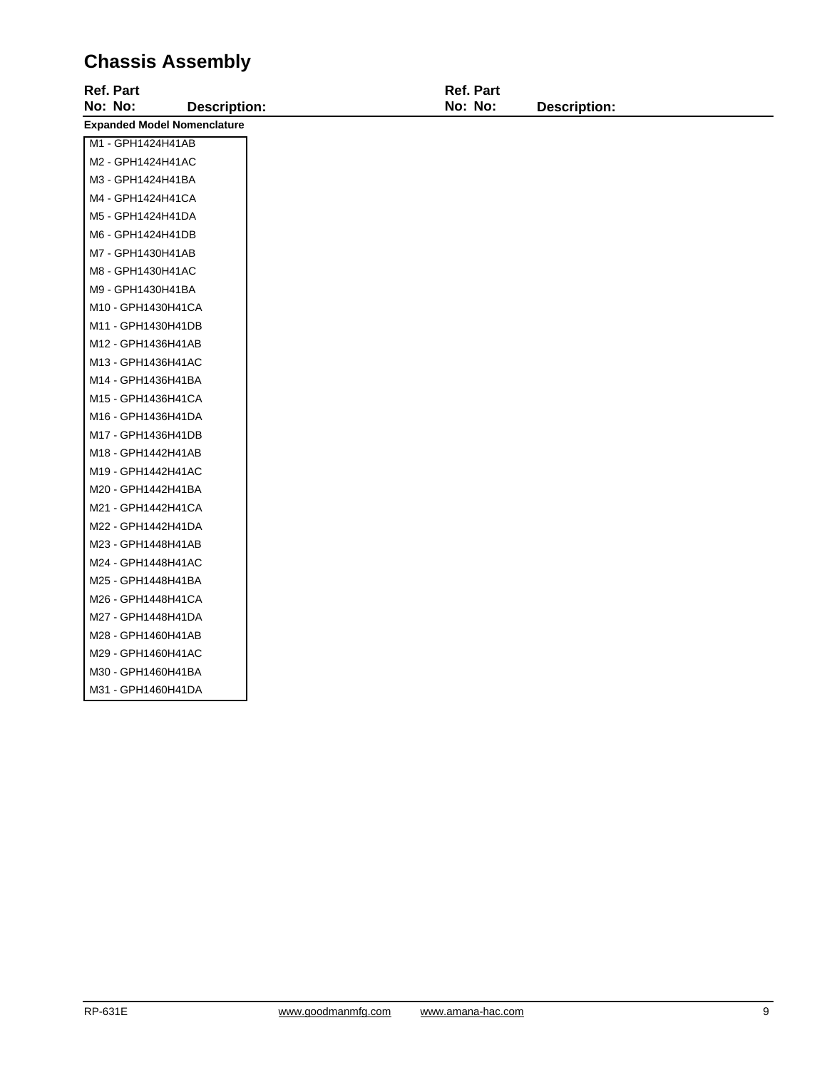## **Chassis Assembly**

| <b>Ref. Part</b>                   | <b>Ref. Part</b> |                     |
|------------------------------------|------------------|---------------------|
| No: No:<br><b>Description:</b>     | No: No:          | <b>Description:</b> |
| <b>Expanded Model Nomenclature</b> |                  |                     |
| M1 - GPH1424H41AB                  |                  |                     |
| M2 - GPH1424H41AC                  |                  |                     |
| M3 - GPH1424H41BA                  |                  |                     |
| M4 - GPH1424H41CA                  |                  |                     |
| M5 - GPH1424H41DA                  |                  |                     |
| M6 - GPH1424H41DB                  |                  |                     |
| M7 - GPH1430H41AB                  |                  |                     |
| M8 - GPH1430H41AC                  |                  |                     |
| M9 - GPH1430H41BA                  |                  |                     |
| M10 - GPH1430H41CA                 |                  |                     |
| M11 - GPH1430H41DB                 |                  |                     |
| M12 - GPH1436H41AB                 |                  |                     |
| M13 - GPH1436H41AC                 |                  |                     |
| M14 - GPH1436H41BA                 |                  |                     |
| M15 - GPH1436H41CA                 |                  |                     |
| M16 - GPH1436H41DA                 |                  |                     |
| M17 - GPH1436H41DB                 |                  |                     |
| M18 - GPH1442H41AB                 |                  |                     |
| M19 - GPH1442H41AC                 |                  |                     |
| M20 - GPH1442H41BA                 |                  |                     |
| M21 - GPH1442H41CA                 |                  |                     |
| M22 - GPH1442H41DA                 |                  |                     |
| M23 - GPH1448H41AB                 |                  |                     |
| M24 - GPH1448H41AC                 |                  |                     |
| M25 - GPH1448H41BA                 |                  |                     |
| M26 - GPH1448H41CA                 |                  |                     |
| M27 - GPH1448H41DA                 |                  |                     |
| M28 - GPH1460H41AB                 |                  |                     |
| M29 - GPH1460H41AC                 |                  |                     |
| M30 - GPH1460H41BA                 |                  |                     |
| M31 - GPH1460H41DA                 |                  |                     |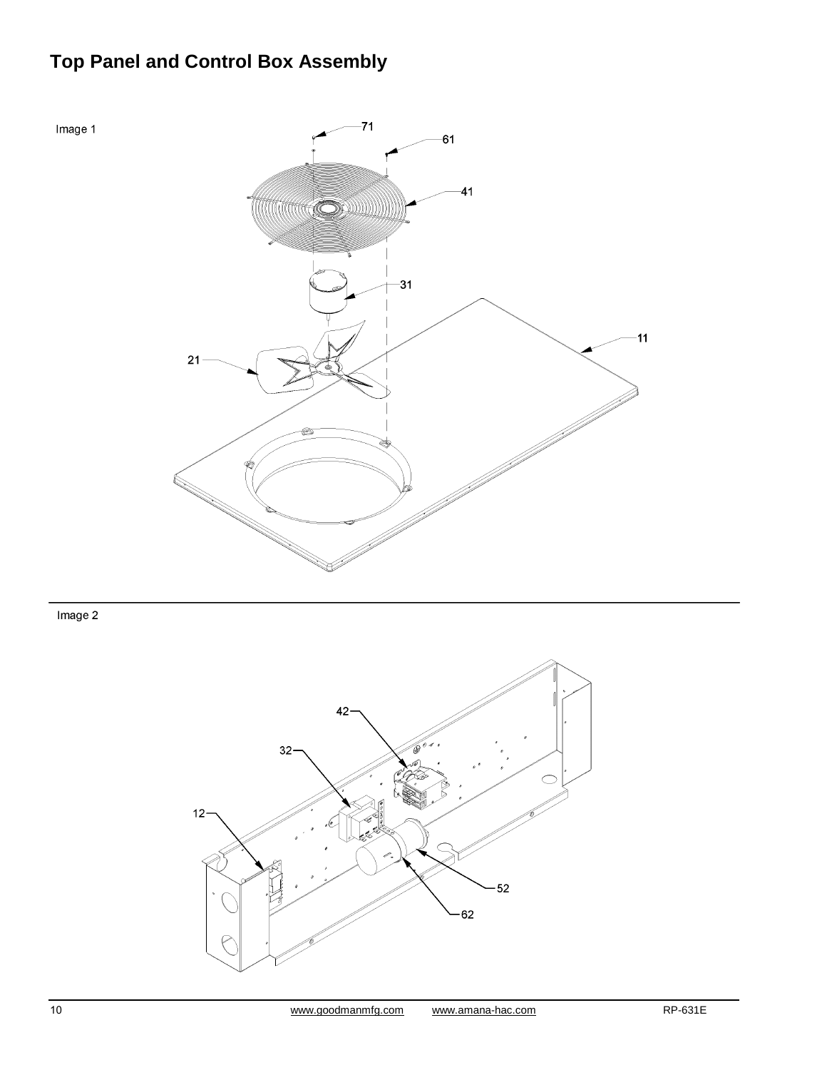## **Top Panel and Control Box Assembly**



Image 2

Image 1

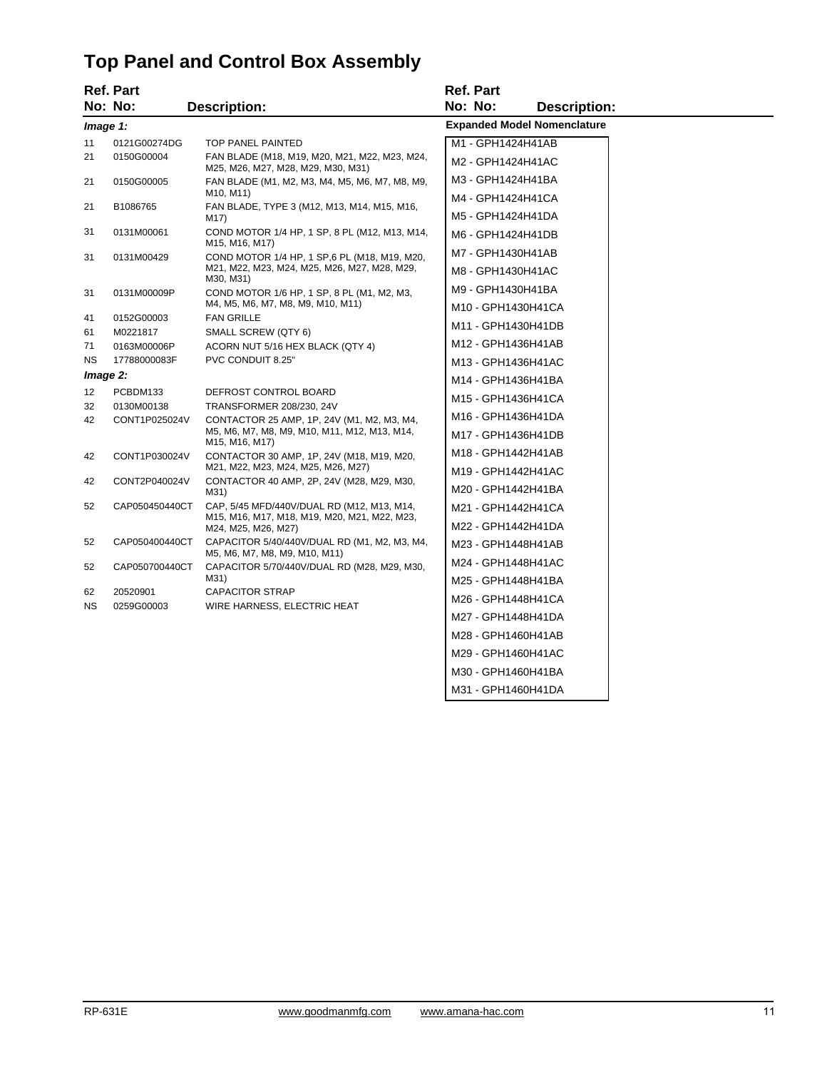## **Top Panel and Control Box Assembly**

|           | <b>Ref. Part</b>       |                                                                                                            | <b>Ref. Part</b>                         |
|-----------|------------------------|------------------------------------------------------------------------------------------------------------|------------------------------------------|
|           | No: No:                | <b>Description:</b>                                                                                        | No: No:<br><b>Description:</b>           |
| Image 1:  |                        |                                                                                                            | <b>Expanded Model Nomenclature</b>       |
| 11        | 0121G00274DG           | TOP PANEL PAINTED                                                                                          | M1 - GPH1424H41AB                        |
| 21        | 0150G00004             | FAN BLADE (M18, M19, M20, M21, M22, M23, M24,<br>M25, M26, M27, M28, M29, M30, M31)                        | M2 - GPH1424H41AC                        |
| 21        | 0150G00005             | FAN BLADE (M1, M2, M3, M4, M5, M6, M7, M8, M9,                                                             | M3 - GPH1424H41BA                        |
|           | B1086765               | M <sub>10</sub> , M <sub>11</sub> )<br>FAN BLADE, TYPE 3 (M12, M13, M14, M15, M16,                         | M4 - GPH1424H41CA                        |
| 21        |                        | M17)                                                                                                       | M5 - GPH1424H41DA                        |
| 31        | 0131M00061             | COND MOTOR 1/4 HP, 1 SP, 8 PL (M12, M13, M14,<br>M15, M16, M17)                                            | M6 - GPH1424H41DB                        |
| 31        | 0131M00429             | COND MOTOR 1/4 HP, 1 SP, 6 PL (M18, M19, M20,<br>M21, M22, M23, M24, M25, M26, M27, M28, M29,<br>M30, M31) | M7 - GPH1430H41AB                        |
|           |                        |                                                                                                            | M8 - GPH1430H41AC                        |
| 31        | 0131M00009P            | COND MOTOR 1/6 HP, 1 SP, 8 PL (M1, M2, M3,                                                                 | M9 - GPH1430H41BA                        |
|           |                        | M4, M5, M6, M7, M8, M9, M10, M11)                                                                          | M10 - GPH1430H41CA                       |
| 41<br>61  | 0152G00003<br>M0221817 | <b>FAN GRILLE</b><br>SMALL SCREW (QTY 6)                                                                   | M11 - GPH1430H41DB                       |
| 71        | 0163M00006P            | ACORN NUT 5/16 HEX BLACK (QTY 4)                                                                           | M12 - GPH1436H41AB                       |
| NS.       | 17788000083F           | PVC CONDUIT 8.25"                                                                                          | M13 - GPH1436H41AC                       |
|           | Image 2:               |                                                                                                            | M14 - GPH1436H41BA                       |
| 12        | PCBDM133               | DEFROST CONTROL BOARD                                                                                      | M15 - GPH1436H41CA                       |
| 32        | 0130M00138             | TRANSFORMER 208/230, 24V                                                                                   |                                          |
| 42        | CONT1P025024V          | CONTACTOR 25 AMP, 1P, 24V (M1, M2, M3, M4,<br>M5, M6, M7, M8, M9, M10, M11, M12, M13, M14,                 | M16 - GPH1436H41DA<br>M17 - GPH1436H41DB |
|           |                        | M <sub>15</sub> , M <sub>16</sub> , M <sub>17</sub> )                                                      | M18 - GPH1442H41AB                       |
| 42        | CONT1P030024V          | CONTACTOR 30 AMP, 1P, 24V (M18, M19, M20,<br>M21, M22, M23, M24, M25, M26, M27)                            | M19 - GPH1442H41AC                       |
| 42        | CONT2P040024V          | CONTACTOR 40 AMP, 2P, 24V (M28, M29, M30,<br>M31)                                                          | M20 - GPH1442H41BA                       |
| 52        | CAP050450440CT         | CAP, 5/45 MFD/440V/DUAL RD (M12, M13, M14,                                                                 | M21 - GPH1442H41CA                       |
|           |                        | M15, M16, M17, M18, M19, M20, M21, M22, M23,<br>M24, M25, M26, M27)                                        | M22 - GPH1442H41DA                       |
| 52        | CAP050400440CT         | CAPACITOR 5/40/440V/DUAL RD (M1, M2, M3, M4,                                                               | M23 - GPH1448H41AB                       |
|           |                        | M5, M6, M7, M8, M9, M10, M11)                                                                              | M24 - GPH1448H41AC                       |
| 52        | CAP050700440CT         | CAPACITOR 5/70/440V/DUAL RD (M28, M29, M30,<br>M31)                                                        | M25 - GPH1448H41BA                       |
| 62        | 20520901               | <b>CAPACITOR STRAP</b>                                                                                     | M26 - GPH1448H41CA                       |
| <b>NS</b> | 0259G00003             | WIRE HARNESS, ELECTRIC HEAT                                                                                |                                          |
|           |                        |                                                                                                            | M27 - GPH1448H41DA                       |
|           |                        |                                                                                                            | M28 - GPH1460H41AB                       |
|           |                        |                                                                                                            | M29 - GPH1460H41AC                       |
|           |                        |                                                                                                            | M30 - GPH1460H41BA                       |

M31 - GPH1460H41DA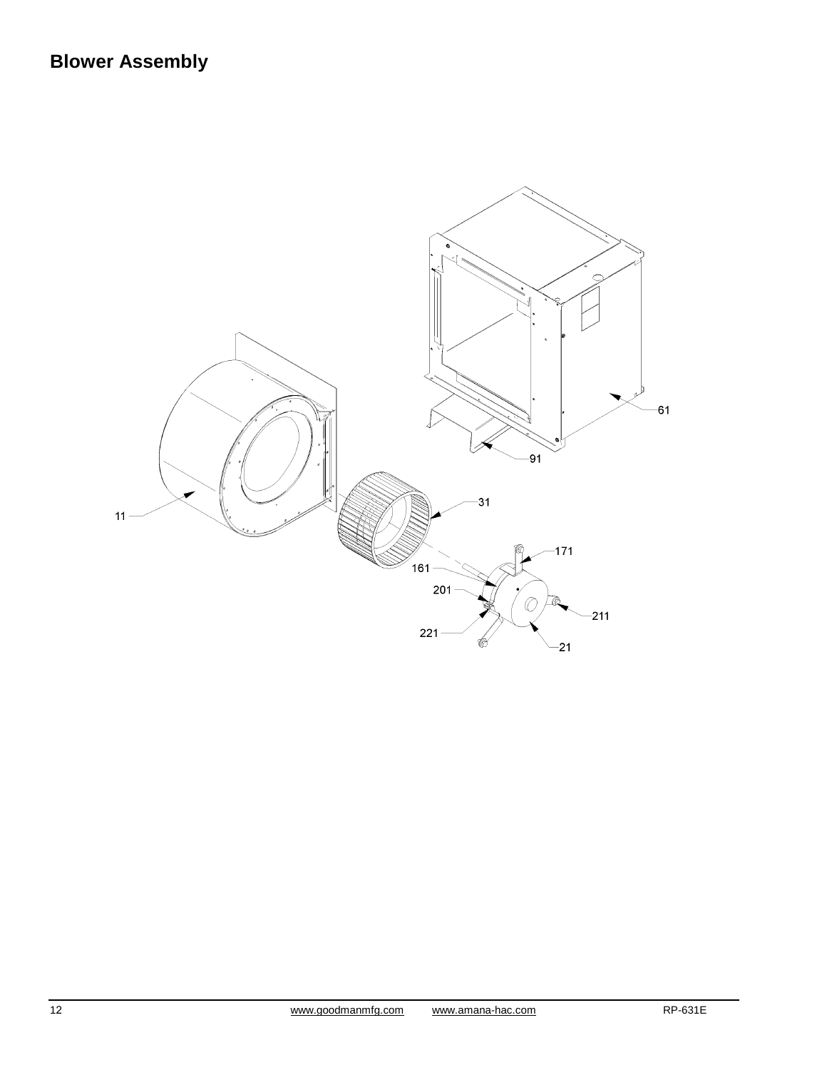## **Blower Assembly**